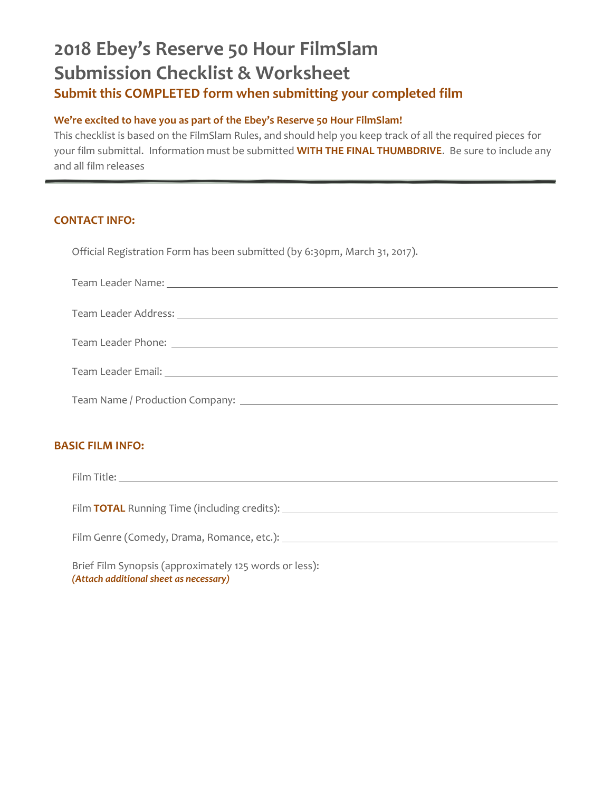## **2018 Ebey's Reserve 50 Hour FilmSlam Submission Checklist & Worksheet Submit this COMPLETED form when submitting your completed film**

## **We're excited to have you as part of the Ebey's Reserve 50 Hour FilmSlam!**

This checklist is based on the FilmSlam Rules, and should help you keep track of all the required pieces for your film submittal. Information must be submitted **WITH THE FINAL THUMBDRIVE**. Be sure to include any and all film releases

## **CONTACT INFO:**

Official Registration Form has been submitted (by 6:30pm, March 31, 2017).

| Team Leader Name: |  |
|-------------------|--|
|                   |  |

| Team Leader Address: |  |
|----------------------|--|
|                      |  |

| Team Leader Phone: |  |
|--------------------|--|
|                    |  |

Team Name / Production Company:

## **BASIC FILM INFO:**

Film Title: <u>www.common.common.common.com and the set of the set of the set of the set of the set of the set of the set of the set of the set of the set of the set of the set of the set of the set of the set of the set of </u>

| Film TOTAL Running Time (including credits): |  |
|----------------------------------------------|--|
|                                              |  |

Film Genre (Comedy, Drama, Romance, etc.):

Brief Film Synopsis (approximately 125 words or less): *(Attach additional sheet as necessary)*